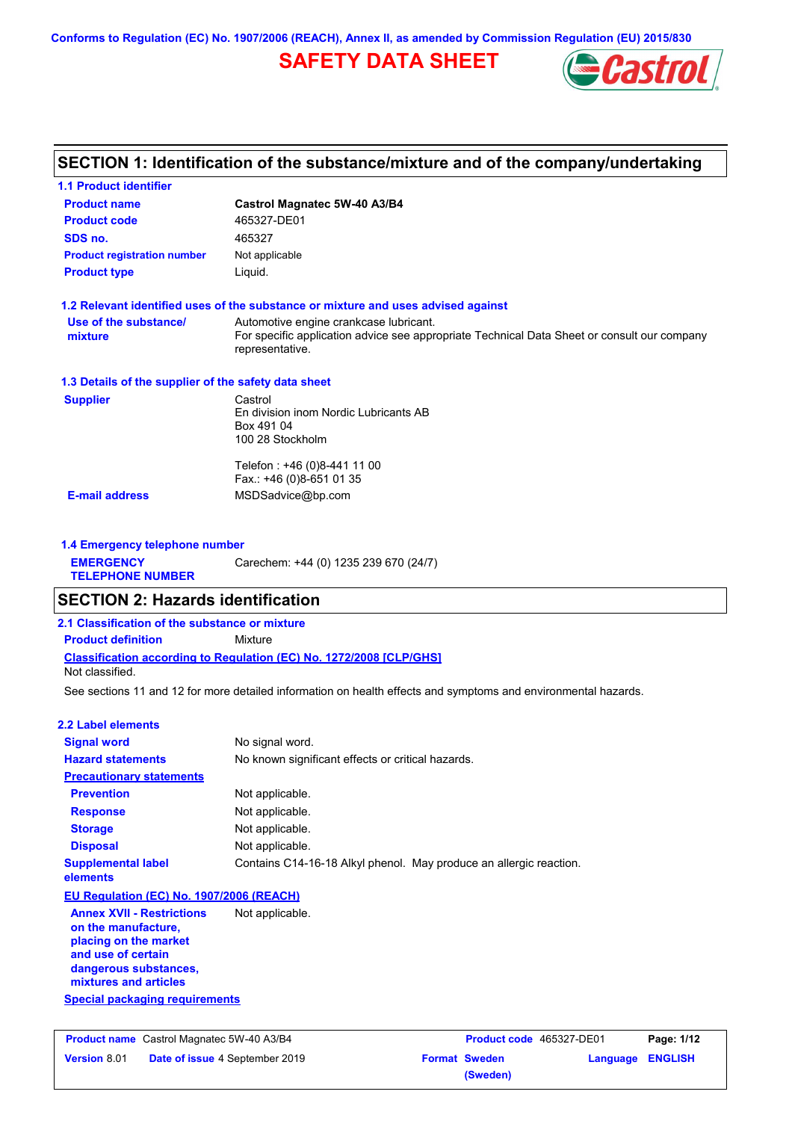### **SAFETY DATA SHEET**



### **SECTION 1: Identification of the substance/mixture and of the company/undertaking**

| <b>1.1 Product identifier</b>                                                                                                                            |                                                                                                                                                          |
|----------------------------------------------------------------------------------------------------------------------------------------------------------|----------------------------------------------------------------------------------------------------------------------------------------------------------|
| <b>Product name</b>                                                                                                                                      | Castrol Magnatec 5W-40 A3/B4                                                                                                                             |
| <b>Product code</b>                                                                                                                                      | 465327-DE01                                                                                                                                              |
| SDS no.                                                                                                                                                  | 465327                                                                                                                                                   |
| <b>Product registration number</b>                                                                                                                       | Not applicable                                                                                                                                           |
| <b>Product type</b>                                                                                                                                      | Liquid.                                                                                                                                                  |
|                                                                                                                                                          | 1.2 Relevant identified uses of the substance or mixture and uses advised against                                                                        |
| Use of the substance/<br>mixture                                                                                                                         | Automotive engine crankcase lubricant.<br>For specific application advice see appropriate Technical Data Sheet or consult our company<br>representative. |
| 1.3 Details of the supplier of the safety data sheet                                                                                                     |                                                                                                                                                          |
| <b>Supplier</b>                                                                                                                                          | Castrol<br>En division inom Nordic Lubricants AB<br>Box 491 04<br>100 28 Stockholm                                                                       |
|                                                                                                                                                          | Telefon: +46 (0)8-441 11 00<br>Fax.: +46 (0)8-651 01 35                                                                                                  |
| <b>E-mail address</b>                                                                                                                                    | MSDSadvice@bp.com                                                                                                                                        |
| 1.4 Emergency telephone number                                                                                                                           |                                                                                                                                                          |
| <b>EMERGENCY</b>                                                                                                                                         | Carechem: +44 (0) 1235 239 670 (24/7)                                                                                                                    |
| <b>TELEPHONE NUMBER</b>                                                                                                                                  |                                                                                                                                                          |
| <b>SECTION 2: Hazards identification</b>                                                                                                                 |                                                                                                                                                          |
|                                                                                                                                                          |                                                                                                                                                          |
| 2.1 Classification of the substance or mixture                                                                                                           |                                                                                                                                                          |
| <b>Product definition</b>                                                                                                                                | Mixture                                                                                                                                                  |
| Not classified.                                                                                                                                          | Classification according to Regulation (EC) No. 1272/2008 [CLP/GHS]                                                                                      |
|                                                                                                                                                          | See sections 11 and 12 for more detailed information on health effects and symptoms and environmental hazards.                                           |
|                                                                                                                                                          |                                                                                                                                                          |
| <b>2.2 Label elements</b>                                                                                                                                |                                                                                                                                                          |
| <b>Signal word</b>                                                                                                                                       | No signal word.                                                                                                                                          |
| <b>Hazard statements</b>                                                                                                                                 | No known significant effects or critical hazards.                                                                                                        |
| <b>Precautionary statements</b>                                                                                                                          |                                                                                                                                                          |
| <b>Prevention</b>                                                                                                                                        | Not applicable.                                                                                                                                          |
| <b>Response</b>                                                                                                                                          | Not applicable.                                                                                                                                          |
| <b>Storage</b>                                                                                                                                           | Not applicable.                                                                                                                                          |
| <b>Disposal</b>                                                                                                                                          | Not applicable.                                                                                                                                          |
| <b>Supplemental label</b><br>elements                                                                                                                    | Contains C14-16-18 Alkyl phenol. May produce an allergic reaction.                                                                                       |
| EU Regulation (EC) No. 1907/2006 (REACH)                                                                                                                 |                                                                                                                                                          |
| <b>Annex XVII - Restrictions</b><br>on the manufacture,<br>placing on the market<br>and use of certain<br>dangerous substances,<br>mixtures and articles | Not applicable.                                                                                                                                          |
| <b>Special packaging requirements</b>                                                                                                                    |                                                                                                                                                          |
|                                                                                                                                                          |                                                                                                                                                          |
|                                                                                                                                                          |                                                                                                                                                          |
| Product name Castrol Magnatec 5W-40 A3/B4                                                                                                                | Page: 1/12<br>Product code 465327-DE01                                                                                                                   |

**Date of issue** 4 September 2019 **Format Sweden Language ENGLISH**

**(Sweden)**

**Version** 8.01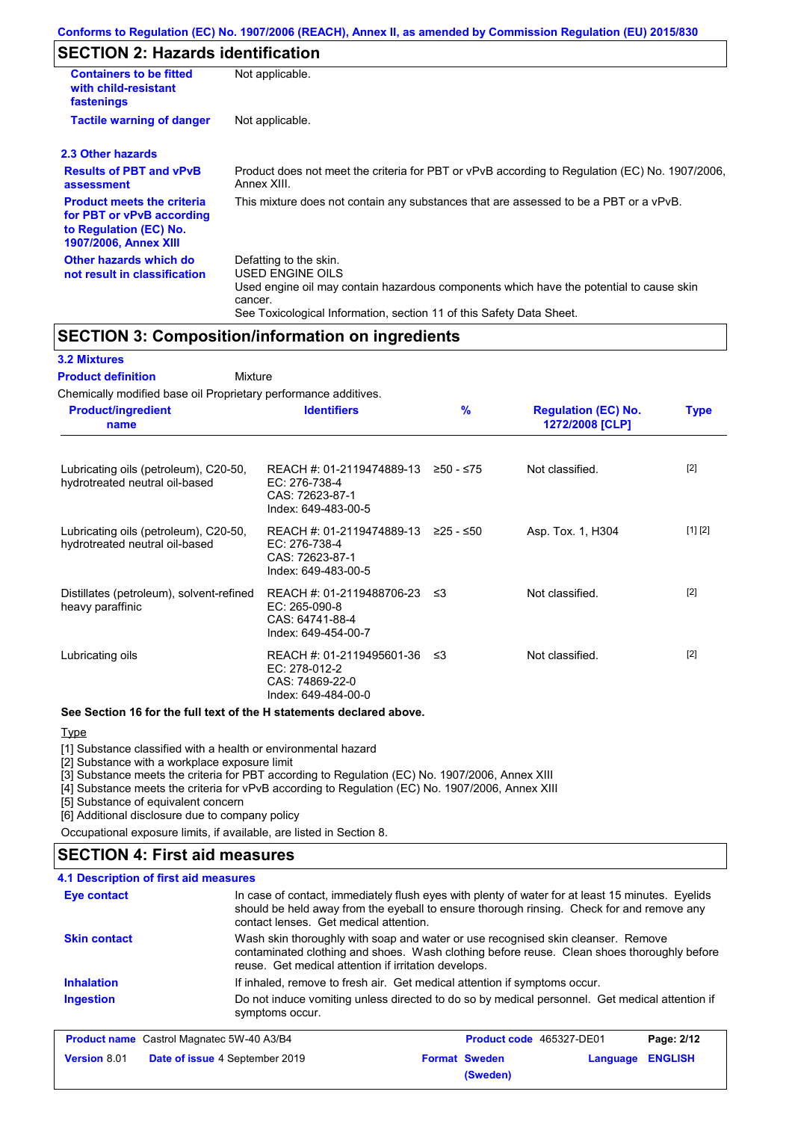### **SECTION 2: Hazards identification**

| <b>Containers to be fitted</b><br>with child-resistant<br>fastenings                                                     | Not applicable.                                                                                                                                                                                                          |
|--------------------------------------------------------------------------------------------------------------------------|--------------------------------------------------------------------------------------------------------------------------------------------------------------------------------------------------------------------------|
| <b>Tactile warning of danger</b>                                                                                         | Not applicable.                                                                                                                                                                                                          |
| 2.3 Other hazards                                                                                                        |                                                                                                                                                                                                                          |
| <b>Results of PBT and vPvB</b><br>assessment                                                                             | Product does not meet the criteria for PBT or vPvB according to Regulation (EC) No. 1907/2006,<br>Annex XIII.                                                                                                            |
| <b>Product meets the criteria</b><br>for PBT or vPvB according<br>to Regulation (EC) No.<br><b>1907/2006, Annex XIII</b> | This mixture does not contain any substances that are assessed to be a PBT or a vPvB.                                                                                                                                    |
| Other hazards which do<br>not result in classification                                                                   | Defatting to the skin.<br>USED ENGINE OILS<br>Used engine oil may contain hazardous components which have the potential to cause skin<br>cancer.<br>See Toxicological Information, section 11 of this Safety Data Sheet. |

### **SECTION 3: Composition/information on ingredients**

### **3.2 Mixtures**

Mixture **Product definition**

| Chemically modified base oil Proprietary performance additives.         |                                                                                                |               |                                               |             |
|-------------------------------------------------------------------------|------------------------------------------------------------------------------------------------|---------------|-----------------------------------------------|-------------|
| <b>Product/ingredient</b><br>name                                       | <b>Identifiers</b>                                                                             | $\frac{9}{6}$ | <b>Regulation (EC) No.</b><br>1272/2008 [CLP] | <b>Type</b> |
| Lubricating oils (petroleum), C20-50,<br>hydrotreated neutral oil-based | REACH #: 01-2119474889-13 ≥50 - ≤75<br>EC: 276-738-4<br>CAS: 72623-87-1<br>Index: 649-483-00-5 |               | Not classified.                               | $[2]$       |
| Lubricating oils (petroleum), C20-50,<br>hydrotreated neutral oil-based | REACH #: 01-2119474889-13 ≥25 - ≤50<br>EC: 276-738-4<br>CAS: 72623-87-1<br>Index: 649-483-00-5 |               | Asp. Tox. 1, H304                             | [1] [2]     |
| Distillates (petroleum), solvent-refined<br>heavy paraffinic            | REACH #: 01-2119488706-23 ≤3<br>EC: 265-090-8<br>CAS: 64741-88-4<br>Index: 649-454-00-7        |               | Not classified.                               | $[2]$       |
| Lubricating oils                                                        | REACH #: 01-2119495601-36 ≤3<br>$EC: 278-012-2$<br>CAS: 74869-22-0<br>Index: 649-484-00-0      |               | Not classified.                               | $[2]$       |

#### **See Section 16 for the full text of the H statements declared above.**

### Type

**Version** 8.01

[1] Substance classified with a health or environmental hazard

[2] Substance with a workplace exposure limit

[3] Substance meets the criteria for PBT according to Regulation (EC) No. 1907/2006, Annex XIII

[4] Substance meets the criteria for vPvB according to Regulation (EC) No. 1907/2006, Annex XIII

[5] Substance of equivalent concern

[6] Additional disclosure due to company policy

Occupational exposure limits, if available, are listed in Section 8.

### **SECTION 4: First aid measures**

### **4.1 Description of first aid measures**

| Eye contact                                      | In case of contact, immediately flush eyes with plenty of water for at least 15 minutes. Eyelids<br>should be held away from the eyeball to ensure thorough rinsing. Check for and remove any<br>contact lenses. Get medical attention. |                                 |            |
|--------------------------------------------------|-----------------------------------------------------------------------------------------------------------------------------------------------------------------------------------------------------------------------------------------|---------------------------------|------------|
| <b>Skin contact</b>                              | Wash skin thoroughly with soap and water or use recognised skin cleanser. Remove<br>contaminated clothing and shoes. Wash clothing before reuse. Clean shoes thoroughly before<br>reuse. Get medical attention if irritation develops.  |                                 |            |
| <b>Inhalation</b>                                | If inhaled, remove to fresh air. Get medical attention if symptoms occur.                                                                                                                                                               |                                 |            |
| <b>Ingestion</b>                                 | Do not induce vomiting unless directed to do so by medical personnel. Get medical attention if<br>symptoms occur.                                                                                                                       |                                 |            |
| <b>Product name</b> Castrol Magnatec 5W-40 A3/B4 |                                                                                                                                                                                                                                         | <b>Product code</b> 465327-DE01 | Page: 2/12 |

**Date of issue** 4 September 2019 **Format Sweden Language ENGLISH**

**(Sweden)**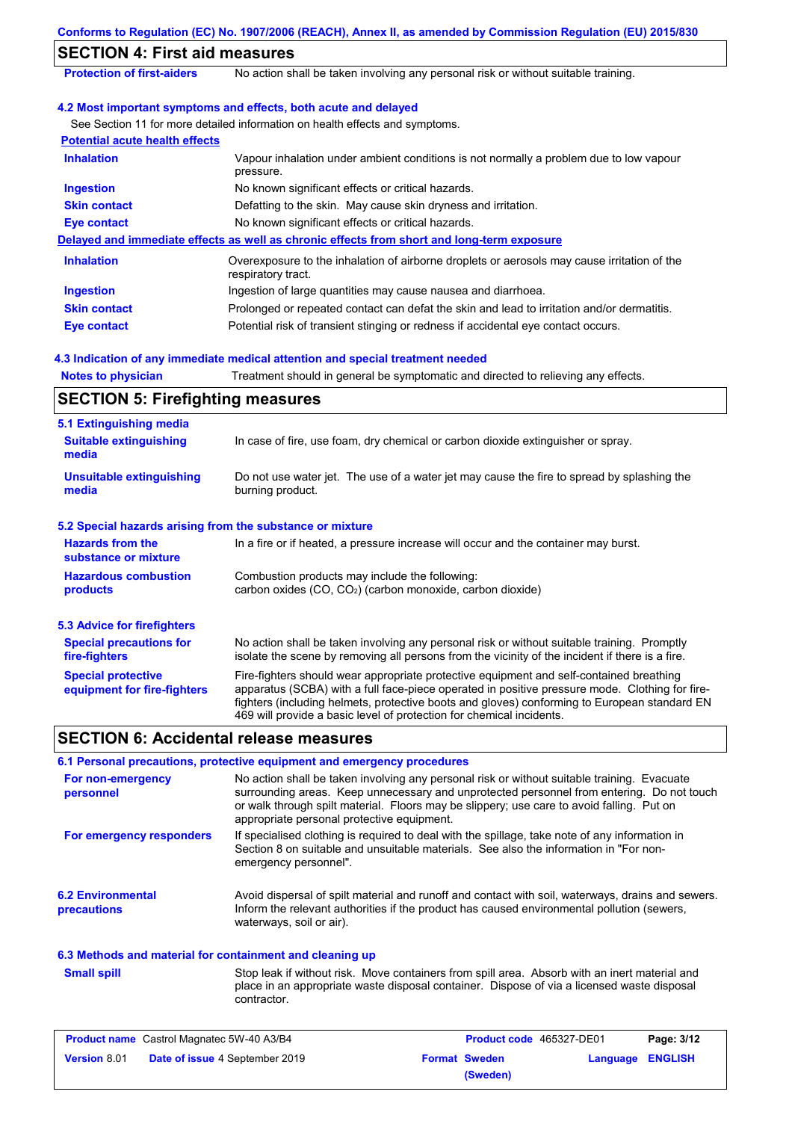|                                                           | Conforms to Regulation (EC) No. 1907/2006 (REACH), Annex II, as amended by Commission Regulation (EU) 2015/830                                                                                                                                                                                                                                                    |
|-----------------------------------------------------------|-------------------------------------------------------------------------------------------------------------------------------------------------------------------------------------------------------------------------------------------------------------------------------------------------------------------------------------------------------------------|
| <b>SECTION 4: First aid measures</b>                      |                                                                                                                                                                                                                                                                                                                                                                   |
| <b>Protection of first-aiders</b>                         | No action shall be taken involving any personal risk or without suitable training.                                                                                                                                                                                                                                                                                |
|                                                           | 4.2 Most important symptoms and effects, both acute and delayed                                                                                                                                                                                                                                                                                                   |
|                                                           | See Section 11 for more detailed information on health effects and symptoms.                                                                                                                                                                                                                                                                                      |
| <b>Potential acute health effects</b>                     |                                                                                                                                                                                                                                                                                                                                                                   |
| <b>Inhalation</b>                                         | Vapour inhalation under ambient conditions is not normally a problem due to low vapour<br>pressure.                                                                                                                                                                                                                                                               |
| <b>Ingestion</b>                                          | No known significant effects or critical hazards.                                                                                                                                                                                                                                                                                                                 |
| <b>Skin contact</b>                                       | Defatting to the skin. May cause skin dryness and irritation.                                                                                                                                                                                                                                                                                                     |
| <b>Eye contact</b>                                        | No known significant effects or critical hazards.                                                                                                                                                                                                                                                                                                                 |
|                                                           | Delayed and immediate effects as well as chronic effects from short and long-term exposure                                                                                                                                                                                                                                                                        |
| <b>Inhalation</b>                                         | Overexposure to the inhalation of airborne droplets or aerosols may cause irritation of the<br>respiratory tract.                                                                                                                                                                                                                                                 |
| <b>Ingestion</b>                                          | Ingestion of large quantities may cause nausea and diarrhoea.                                                                                                                                                                                                                                                                                                     |
| <b>Skin contact</b>                                       | Prolonged or repeated contact can defat the skin and lead to irritation and/or dermatitis.                                                                                                                                                                                                                                                                        |
| <b>Eye contact</b>                                        | Potential risk of transient stinging or redness if accidental eye contact occurs.                                                                                                                                                                                                                                                                                 |
|                                                           | 4.3 Indication of any immediate medical attention and special treatment needed                                                                                                                                                                                                                                                                                    |
| <b>Notes to physician</b>                                 | Treatment should in general be symptomatic and directed to relieving any effects.                                                                                                                                                                                                                                                                                 |
| <b>SECTION 5: Firefighting measures</b>                   |                                                                                                                                                                                                                                                                                                                                                                   |
| 5.1 Extinguishing media                                   |                                                                                                                                                                                                                                                                                                                                                                   |
| <b>Suitable extinguishing</b><br>media                    | In case of fire, use foam, dry chemical or carbon dioxide extinguisher or spray.                                                                                                                                                                                                                                                                                  |
| <b>Unsuitable extinguishing</b><br>media                  | Do not use water jet. The use of a water jet may cause the fire to spread by splashing the<br>burning product.                                                                                                                                                                                                                                                    |
| 5.2 Special hazards arising from the substance or mixture |                                                                                                                                                                                                                                                                                                                                                                   |
| <b>Hazards from the</b><br>substance or mixture           | In a fire or if heated, a pressure increase will occur and the container may burst.                                                                                                                                                                                                                                                                               |
| <b>Hazardous combustion</b><br>products                   | Combustion products may include the following:<br>carbon oxides (CO, CO <sub>2</sub> ) (carbon monoxide, carbon dioxide)                                                                                                                                                                                                                                          |
| <b>5.3 Advice for firefighters</b>                        |                                                                                                                                                                                                                                                                                                                                                                   |
| <b>Special precautions for</b><br>fire-fighters           | No action shall be taken involving any personal risk or without suitable training. Promptly<br>isolate the scene by removing all persons from the vicinity of the incident if there is a fire.                                                                                                                                                                    |
| <b>Special protective</b><br>equipment for fire-fighters  | Fire-fighters should wear appropriate protective equipment and self-contained breathing<br>apparatus (SCBA) with a full face-piece operated in positive pressure mode. Clothing for fire-<br>fighters (including helmets, protective boots and gloves) conforming to European standard EN<br>469 will provide a basic level of protection for chemical incidents. |
| <b>SECTION 6: Accidental release measures</b>             |                                                                                                                                                                                                                                                                                                                                                                   |
|                                                           | 6.1 Personal precautions, protective equipment and emergency procedures                                                                                                                                                                                                                                                                                           |
| For non-emergency<br>personnel                            | No action shall be taken involving any personal risk or without suitable training. Evacuate<br>surrounding areas. Keep unnecessary and unprotected personnel from entering. Do not touch<br>or walk through spilt material. Floors may be slippery; use care to avoid falling. Put on<br>appropriate personal protective equipment.                               |
| For emergency responders                                  | If specialised clothing is required to deal with the spillage, take note of any information in<br>Section 8 on suitable and unsuitable materials. See also the information in "For non-<br>emergency personnel".                                                                                                                                                  |
| <b>6.2 Environmental</b>                                  | Avoid dispersal of spilt material and runoff and contact with soil, waterways, drains and sewers.                                                                                                                                                                                                                                                                 |

#### **6.3 Methods and material for containment and cleaning up**

waterways, soil or air).

**Small spill**

**precautions**

Stop leak if without risk. Move containers from spill area. Absorb with an inert material and place in an appropriate waste disposal container. Dispose of via a licensed waste disposal contractor.

Inform the relevant authorities if the product has caused environmental pollution (sewers,

| <b>Product name</b> Castrol Magnatec 5W-40 A3/B4 |                                       | <b>Product code</b> 465327-DE01 |                      | Page: 3/12       |  |
|--------------------------------------------------|---------------------------------------|---------------------------------|----------------------|------------------|--|
| <b>Version 8.01</b>                              | <b>Date of issue 4 September 2019</b> |                                 | <b>Format Sweden</b> | Language ENGLISH |  |
|                                                  |                                       |                                 | (Sweden)             |                  |  |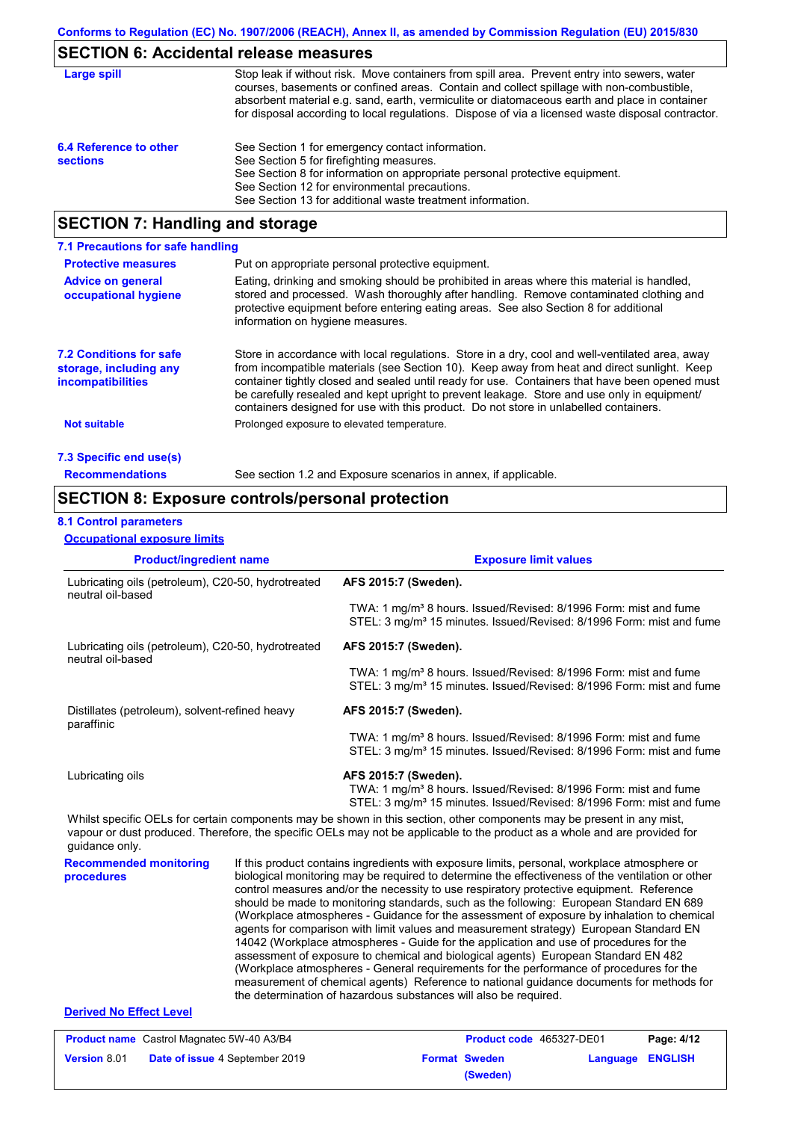# **SECTION 6: Accidental release measures**

| Large spill                               | Stop leak if without risk. Move containers from spill area. Prevent entry into sewers, water<br>courses, basements or confined areas. Contain and collect spillage with non-combustible,<br>absorbent material e.g. sand, earth, vermiculite or diatomaceous earth and place in container<br>for disposal according to local regulations. Dispose of via a licensed waste disposal contractor. |
|-------------------------------------------|------------------------------------------------------------------------------------------------------------------------------------------------------------------------------------------------------------------------------------------------------------------------------------------------------------------------------------------------------------------------------------------------|
| 6.4 Reference to other<br><b>sections</b> | See Section 1 for emergency contact information.<br>See Section 5 for firefighting measures.<br>See Section 8 for information on appropriate personal protective equipment.<br>See Section 12 for environmental precautions.<br>See Section 13 for additional waste treatment information.                                                                                                     |

### **SECTION 7: Handling and storage**

| 7.1 Precautions for safe handling                                                    |                                                                                                                                                                                                                                                                                                                                                                                                                                                                                          |
|--------------------------------------------------------------------------------------|------------------------------------------------------------------------------------------------------------------------------------------------------------------------------------------------------------------------------------------------------------------------------------------------------------------------------------------------------------------------------------------------------------------------------------------------------------------------------------------|
| <b>Protective measures</b>                                                           | Put on appropriate personal protective equipment.                                                                                                                                                                                                                                                                                                                                                                                                                                        |
| <b>Advice on general</b><br>occupational hygiene                                     | Eating, drinking and smoking should be prohibited in areas where this material is handled.<br>stored and processed. Wash thoroughly after handling. Remove contaminated clothing and<br>protective equipment before entering eating areas. See also Section 8 for additional<br>information on hygiene measures.                                                                                                                                                                         |
| <b>7.2 Conditions for safe</b><br>storage, including any<br><i>incompatibilities</i> | Store in accordance with local regulations. Store in a dry, cool and well-ventilated area, away<br>from incompatible materials (see Section 10). Keep away from heat and direct sunlight. Keep<br>container tightly closed and sealed until ready for use. Containers that have been opened must<br>be carefully resealed and kept upright to prevent leakage. Store and use only in equipment/<br>containers designed for use with this product. Do not store in unlabelled containers. |
| <b>Not suitable</b>                                                                  | Prolonged exposure to elevated temperature.                                                                                                                                                                                                                                                                                                                                                                                                                                              |
| 7.3 Specific end use(s)                                                              |                                                                                                                                                                                                                                                                                                                                                                                                                                                                                          |
| <b>Recommendations</b>                                                               | See section 1.2 and Exposure scenarios in annex, if applicable.                                                                                                                                                                                                                                                                                                                                                                                                                          |

### **SECTION 8: Exposure controls/personal protection**

### **8.1 Control parameters**

#### **Occupational exposure limits**

| <b>Product/ingredient name</b>                                                                                                                                                                                                                                                                                                                                                                                                                                                                                                                                                                                                                                                                                                                                                                                                                                                                                                                                                                                                                                            |                   | <b>Exposure limit values</b>                                                                                                                                                             |                                                                                                                                                                  |                                                                                                                                                                  |                |  |
|---------------------------------------------------------------------------------------------------------------------------------------------------------------------------------------------------------------------------------------------------------------------------------------------------------------------------------------------------------------------------------------------------------------------------------------------------------------------------------------------------------------------------------------------------------------------------------------------------------------------------------------------------------------------------------------------------------------------------------------------------------------------------------------------------------------------------------------------------------------------------------------------------------------------------------------------------------------------------------------------------------------------------------------------------------------------------|-------------------|------------------------------------------------------------------------------------------------------------------------------------------------------------------------------------------|------------------------------------------------------------------------------------------------------------------------------------------------------------------|------------------------------------------------------------------------------------------------------------------------------------------------------------------|----------------|--|
| Lubricating oils (petroleum), C20-50, hydrotreated                                                                                                                                                                                                                                                                                                                                                                                                                                                                                                                                                                                                                                                                                                                                                                                                                                                                                                                                                                                                                        |                   | AFS 2015:7 (Sweden).                                                                                                                                                                     |                                                                                                                                                                  |                                                                                                                                                                  |                |  |
|                                                                                                                                                                                                                                                                                                                                                                                                                                                                                                                                                                                                                                                                                                                                                                                                                                                                                                                                                                                                                                                                           | neutral oil-based |                                                                                                                                                                                          |                                                                                                                                                                  | TWA: 1 mg/m <sup>3</sup> 8 hours. Issued/Revised: 8/1996 Form: mist and fume<br>STEL: 3 mg/m <sup>3</sup> 15 minutes. Issued/Revised: 8/1996 Form: mist and fume |                |  |
| Lubricating oils (petroleum), C20-50, hydrotreated<br>neutral oil-based                                                                                                                                                                                                                                                                                                                                                                                                                                                                                                                                                                                                                                                                                                                                                                                                                                                                                                                                                                                                   |                   | AFS 2015:7 (Sweden).                                                                                                                                                                     |                                                                                                                                                                  |                                                                                                                                                                  |                |  |
|                                                                                                                                                                                                                                                                                                                                                                                                                                                                                                                                                                                                                                                                                                                                                                                                                                                                                                                                                                                                                                                                           |                   |                                                                                                                                                                                          | TWA: 1 mg/m <sup>3</sup> 8 hours. Issued/Revised: 8/1996 Form: mist and fume<br>STEL: 3 mg/m <sup>3</sup> 15 minutes. Issued/Revised: 8/1996 Form: mist and fume |                                                                                                                                                                  |                |  |
| Distillates (petroleum), solvent-refined heavy<br>paraffinic                                                                                                                                                                                                                                                                                                                                                                                                                                                                                                                                                                                                                                                                                                                                                                                                                                                                                                                                                                                                              |                   | AFS 2015:7 (Sweden).                                                                                                                                                                     |                                                                                                                                                                  |                                                                                                                                                                  |                |  |
|                                                                                                                                                                                                                                                                                                                                                                                                                                                                                                                                                                                                                                                                                                                                                                                                                                                                                                                                                                                                                                                                           |                   | TWA: 1 mg/m <sup>3</sup> 8 hours. Issued/Revised: 8/1996 Form: mist and fume<br>STEL: 3 mg/m <sup>3</sup> 15 minutes. Issued/Revised: 8/1996 Form: mist and fume                         |                                                                                                                                                                  |                                                                                                                                                                  |                |  |
| Lubricating oils                                                                                                                                                                                                                                                                                                                                                                                                                                                                                                                                                                                                                                                                                                                                                                                                                                                                                                                                                                                                                                                          |                   | AFS 2015:7 (Sweden).<br>TWA: 1 mg/m <sup>3</sup> 8 hours. Issued/Revised: 8/1996 Form: mist and fume<br>STEL: 3 mg/m <sup>3</sup> 15 minutes. Issued/Revised: 8/1996 Form: mist and fume |                                                                                                                                                                  |                                                                                                                                                                  |                |  |
| Whilst specific OELs for certain components may be shown in this section, other components may be present in any mist,<br>vapour or dust produced. Therefore, the specific OELs may not be applicable to the product as a whole and are provided for<br>guidance only.                                                                                                                                                                                                                                                                                                                                                                                                                                                                                                                                                                                                                                                                                                                                                                                                    |                   |                                                                                                                                                                                          |                                                                                                                                                                  |                                                                                                                                                                  |                |  |
| <b>Recommended monitoring</b><br>If this product contains ingredients with exposure limits, personal, workplace atmosphere or<br>procedures<br>biological monitoring may be required to determine the effectiveness of the ventilation or other<br>control measures and/or the necessity to use respiratory protective equipment. Reference<br>should be made to monitoring standards, such as the following: European Standard EN 689<br>(Workplace atmospheres - Guidance for the assessment of exposure by inhalation to chemical<br>agents for comparison with limit values and measurement strategy) European Standard EN<br>14042 (Workplace atmospheres - Guide for the application and use of procedures for the<br>assessment of exposure to chemical and biological agents) European Standard EN 482<br>(Workplace atmospheres - General requirements for the performance of procedures for the<br>measurement of chemical agents) Reference to national guidance documents for methods for<br>the determination of hazardous substances will also be required. |                   |                                                                                                                                                                                          |                                                                                                                                                                  |                                                                                                                                                                  |                |  |
| <b>Derived No Effect Level</b>                                                                                                                                                                                                                                                                                                                                                                                                                                                                                                                                                                                                                                                                                                                                                                                                                                                                                                                                                                                                                                            |                   |                                                                                                                                                                                          |                                                                                                                                                                  |                                                                                                                                                                  |                |  |
| Product name Castrol Magnatec 5W-40 A3/B4                                                                                                                                                                                                                                                                                                                                                                                                                                                                                                                                                                                                                                                                                                                                                                                                                                                                                                                                                                                                                                 |                   |                                                                                                                                                                                          | Product code 465327-DE01                                                                                                                                         |                                                                                                                                                                  | Page: 4/12     |  |
| Version 8.01<br>Date of issue 4 September 2019                                                                                                                                                                                                                                                                                                                                                                                                                                                                                                                                                                                                                                                                                                                                                                                                                                                                                                                                                                                                                            |                   |                                                                                                                                                                                          | <b>Format Sweden</b><br>(Sweden)                                                                                                                                 | Language                                                                                                                                                         | <b>ENGLISH</b> |  |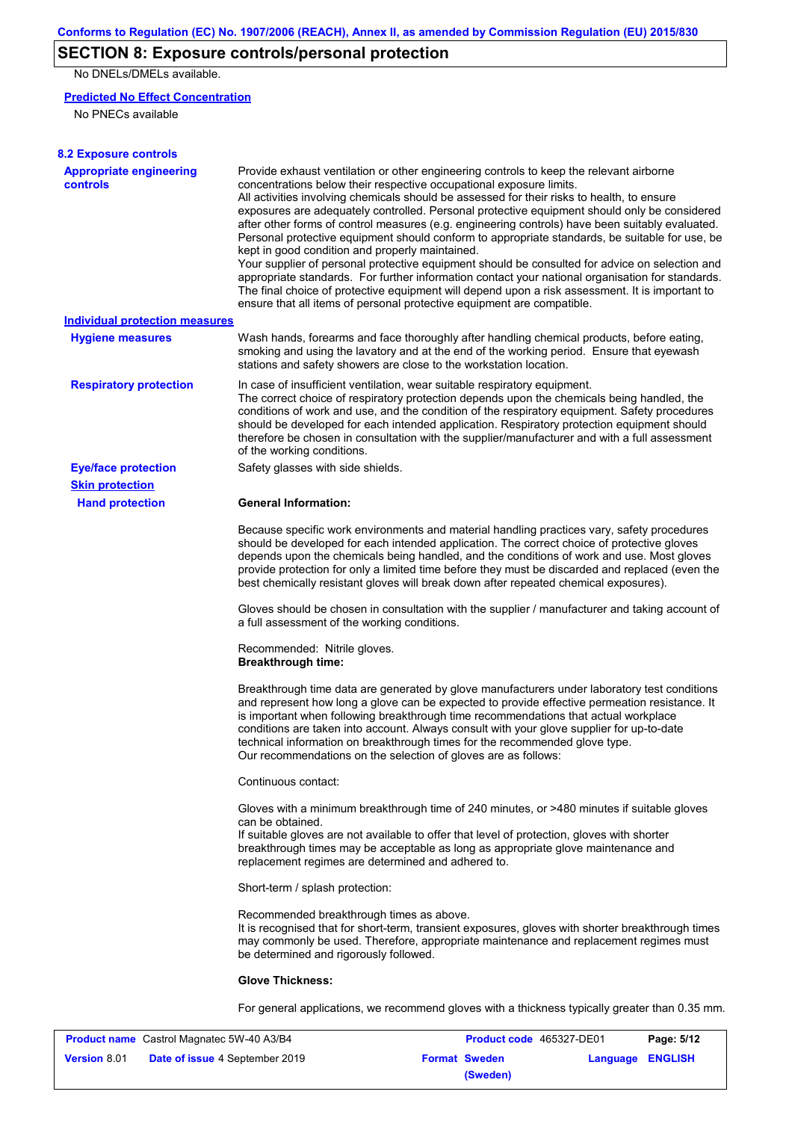### **SECTION 8: Exposure controls/personal protection**

No DNELs/DMELs available.

### **Predicted No Effect Concentration**

No PNECs available

| <b>8.2 Exposure controls</b>               |                                                                                                                                                                                                                                                                                                                                                                                                                                                                                                                                                                                                                                                                                                                                                                                                                                                                                                                                                                                                         |
|--------------------------------------------|---------------------------------------------------------------------------------------------------------------------------------------------------------------------------------------------------------------------------------------------------------------------------------------------------------------------------------------------------------------------------------------------------------------------------------------------------------------------------------------------------------------------------------------------------------------------------------------------------------------------------------------------------------------------------------------------------------------------------------------------------------------------------------------------------------------------------------------------------------------------------------------------------------------------------------------------------------------------------------------------------------|
| <b>Appropriate engineering</b><br>controls | Provide exhaust ventilation or other engineering controls to keep the relevant airborne<br>concentrations below their respective occupational exposure limits.<br>All activities involving chemicals should be assessed for their risks to health, to ensure<br>exposures are adequately controlled. Personal protective equipment should only be considered<br>after other forms of control measures (e.g. engineering controls) have been suitably evaluated.<br>Personal protective equipment should conform to appropriate standards, be suitable for use, be<br>kept in good condition and properly maintained.<br>Your supplier of personal protective equipment should be consulted for advice on selection and<br>appropriate standards. For further information contact your national organisation for standards.<br>The final choice of protective equipment will depend upon a risk assessment. It is important to<br>ensure that all items of personal protective equipment are compatible. |
| <b>Individual protection measures</b>      |                                                                                                                                                                                                                                                                                                                                                                                                                                                                                                                                                                                                                                                                                                                                                                                                                                                                                                                                                                                                         |
| <b>Hygiene measures</b>                    | Wash hands, forearms and face thoroughly after handling chemical products, before eating,<br>smoking and using the lavatory and at the end of the working period. Ensure that eyewash<br>stations and safety showers are close to the workstation location.                                                                                                                                                                                                                                                                                                                                                                                                                                                                                                                                                                                                                                                                                                                                             |
| <b>Respiratory protection</b>              | In case of insufficient ventilation, wear suitable respiratory equipment.<br>The correct choice of respiratory protection depends upon the chemicals being handled, the<br>conditions of work and use, and the condition of the respiratory equipment. Safety procedures<br>should be developed for each intended application. Respiratory protection equipment should<br>therefore be chosen in consultation with the supplier/manufacturer and with a full assessment<br>of the working conditions.                                                                                                                                                                                                                                                                                                                                                                                                                                                                                                   |
| <b>Eye/face protection</b>                 | Safety glasses with side shields.                                                                                                                                                                                                                                                                                                                                                                                                                                                                                                                                                                                                                                                                                                                                                                                                                                                                                                                                                                       |
| <b>Skin protection</b>                     |                                                                                                                                                                                                                                                                                                                                                                                                                                                                                                                                                                                                                                                                                                                                                                                                                                                                                                                                                                                                         |
| <b>Hand protection</b>                     | <b>General Information:</b>                                                                                                                                                                                                                                                                                                                                                                                                                                                                                                                                                                                                                                                                                                                                                                                                                                                                                                                                                                             |
|                                            | Because specific work environments and material handling practices vary, safety procedures<br>should be developed for each intended application. The correct choice of protective gloves<br>depends upon the chemicals being handled, and the conditions of work and use. Most gloves<br>provide protection for only a limited time before they must be discarded and replaced (even the<br>best chemically resistant gloves will break down after repeated chemical exposures).                                                                                                                                                                                                                                                                                                                                                                                                                                                                                                                        |
|                                            | Gloves should be chosen in consultation with the supplier / manufacturer and taking account of<br>a full assessment of the working conditions.                                                                                                                                                                                                                                                                                                                                                                                                                                                                                                                                                                                                                                                                                                                                                                                                                                                          |
|                                            | Recommended: Nitrile gloves.<br><b>Breakthrough time:</b>                                                                                                                                                                                                                                                                                                                                                                                                                                                                                                                                                                                                                                                                                                                                                                                                                                                                                                                                               |
|                                            | Breakthrough time data are generated by glove manufacturers under laboratory test conditions<br>and represent how long a glove can be expected to provide effective permeation resistance. It<br>is important when following breakthrough time recommendations that actual workplace<br>conditions are taken into account. Always consult with your glove supplier for up-to-date<br>technical information on breakthrough times for the recommended glove type.<br>Our recommendations on the selection of gloves are as follows:                                                                                                                                                                                                                                                                                                                                                                                                                                                                      |
|                                            | Continuous contact:                                                                                                                                                                                                                                                                                                                                                                                                                                                                                                                                                                                                                                                                                                                                                                                                                                                                                                                                                                                     |
|                                            | Gloves with a minimum breakthrough time of 240 minutes, or >480 minutes if suitable gloves<br>can be obtained.<br>If suitable gloves are not available to offer that level of protection, gloves with shorter<br>breakthrough times may be acceptable as long as appropriate glove maintenance and<br>replacement regimes are determined and adhered to.                                                                                                                                                                                                                                                                                                                                                                                                                                                                                                                                                                                                                                                |
|                                            | Short-term / splash protection:                                                                                                                                                                                                                                                                                                                                                                                                                                                                                                                                                                                                                                                                                                                                                                                                                                                                                                                                                                         |
|                                            | Recommended breakthrough times as above.<br>It is recognised that for short-term, transient exposures, gloves with shorter breakthrough times<br>may commonly be used. Therefore, appropriate maintenance and replacement regimes must<br>be determined and rigorously followed.                                                                                                                                                                                                                                                                                                                                                                                                                                                                                                                                                                                                                                                                                                                        |
|                                            | <b>Glove Thickness:</b>                                                                                                                                                                                                                                                                                                                                                                                                                                                                                                                                                                                                                                                                                                                                                                                                                                                                                                                                                                                 |
|                                            | For general applications, we recommend gloves with a thickness typically greater than 0.35 mm.                                                                                                                                                                                                                                                                                                                                                                                                                                                                                                                                                                                                                                                                                                                                                                                                                                                                                                          |

| <b>Product name</b> Castrol Magnatec 5W-40 A3/B4 |                                       | <b>Product code</b> 465327-DE01 |                      | Page: 5/12       |  |
|--------------------------------------------------|---------------------------------------|---------------------------------|----------------------|------------------|--|
| <b>Version 8.01</b>                              | <b>Date of issue 4 September 2019</b> |                                 | <b>Format Sweden</b> | Language ENGLISH |  |
|                                                  |                                       |                                 | (Sweden)             |                  |  |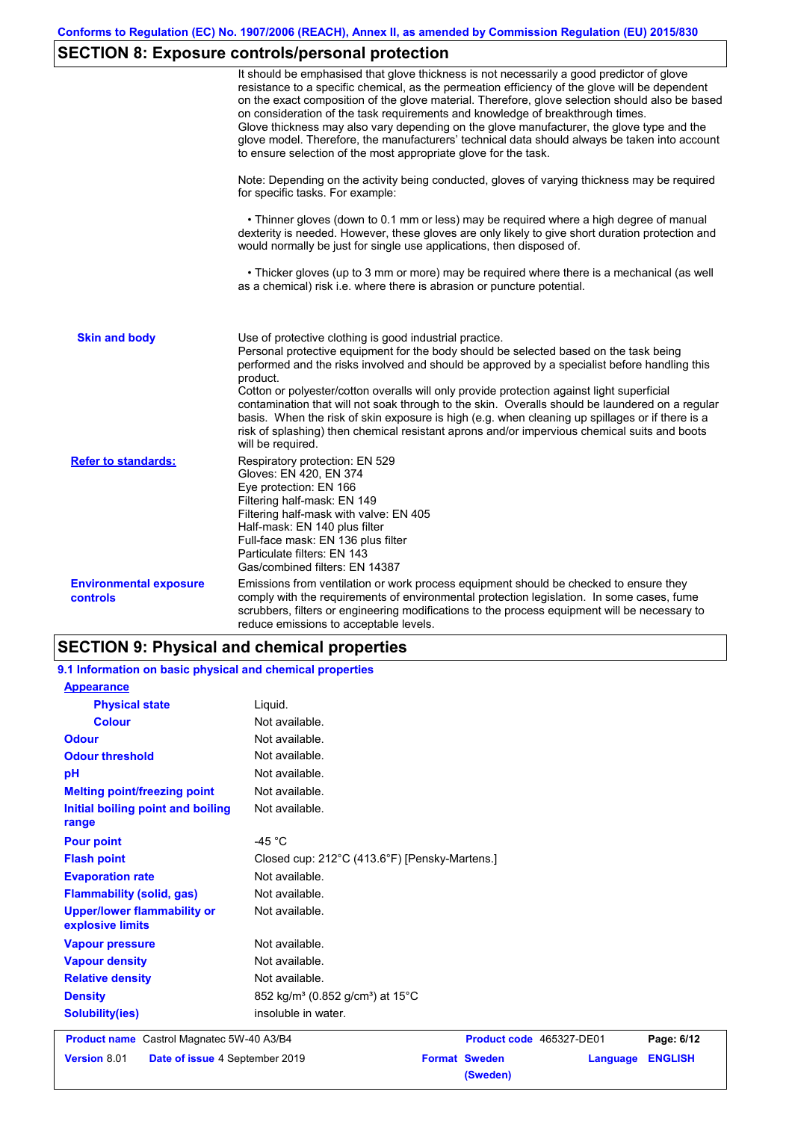# **SECTION 8: Exposure controls/personal protection**

|                                                  | It should be emphasised that glove thickness is not necessarily a good predictor of glove<br>resistance to a specific chemical, as the permeation efficiency of the glove will be dependent<br>on the exact composition of the glove material. Therefore, glove selection should also be based<br>on consideration of the task requirements and knowledge of breakthrough times.<br>Glove thickness may also vary depending on the glove manufacturer, the glove type and the<br>glove model. Therefore, the manufacturers' technical data should always be taken into account<br>to ensure selection of the most appropriate glove for the task.                                     |
|--------------------------------------------------|---------------------------------------------------------------------------------------------------------------------------------------------------------------------------------------------------------------------------------------------------------------------------------------------------------------------------------------------------------------------------------------------------------------------------------------------------------------------------------------------------------------------------------------------------------------------------------------------------------------------------------------------------------------------------------------|
|                                                  | Note: Depending on the activity being conducted, gloves of varying thickness may be required<br>for specific tasks. For example:                                                                                                                                                                                                                                                                                                                                                                                                                                                                                                                                                      |
|                                                  | • Thinner gloves (down to 0.1 mm or less) may be required where a high degree of manual<br>dexterity is needed. However, these gloves are only likely to give short duration protection and<br>would normally be just for single use applications, then disposed of.                                                                                                                                                                                                                                                                                                                                                                                                                  |
|                                                  | • Thicker gloves (up to 3 mm or more) may be required where there is a mechanical (as well<br>as a chemical) risk i.e. where there is abrasion or puncture potential.                                                                                                                                                                                                                                                                                                                                                                                                                                                                                                                 |
| <b>Skin and body</b>                             | Use of protective clothing is good industrial practice.<br>Personal protective equipment for the body should be selected based on the task being<br>performed and the risks involved and should be approved by a specialist before handling this<br>product.<br>Cotton or polyester/cotton overalls will only provide protection against light superficial<br>contamination that will not soak through to the skin. Overalls should be laundered on a regular<br>basis. When the risk of skin exposure is high (e.g. when cleaning up spillages or if there is a<br>risk of splashing) then chemical resistant aprons and/or impervious chemical suits and boots<br>will be required. |
| <b>Refer to standards:</b>                       | Respiratory protection: EN 529<br>Gloves: EN 420, EN 374<br>Eye protection: EN 166<br>Filtering half-mask: EN 149<br>Filtering half-mask with valve: EN 405<br>Half-mask: EN 140 plus filter<br>Full-face mask: EN 136 plus filter<br>Particulate filters: EN 143<br>Gas/combined filters: EN 14387                                                                                                                                                                                                                                                                                                                                                                                   |
| <b>Environmental exposure</b><br><b>controls</b> | Emissions from ventilation or work process equipment should be checked to ensure they<br>comply with the requirements of environmental protection legislation. In some cases, fume<br>scrubbers, filters or engineering modifications to the process equipment will be necessary to<br>reduce emissions to acceptable levels.                                                                                                                                                                                                                                                                                                                                                         |

### **SECTION 9: Physical and chemical properties**

| 9.1 Information on basic physical and chemical properties |                                                                |
|-----------------------------------------------------------|----------------------------------------------------------------|
| <b>Appearance</b>                                         |                                                                |
| <b>Physical state</b>                                     | Liquid.                                                        |
| <b>Colour</b>                                             | Not available.                                                 |
| <b>Odour</b>                                              | Not available.                                                 |
| <b>Odour threshold</b>                                    | Not available.                                                 |
| pH                                                        | Not available.                                                 |
| <b>Melting point/freezing point</b>                       | Not available.                                                 |
| <b>Initial boiling point and boiling</b><br>range         | Not available.                                                 |
| <b>Pour point</b>                                         | -45 $^{\circ}$ C                                               |
| <b>Flash point</b>                                        | Closed cup: 212°C (413.6°F) [Pensky-Martens.]                  |
| <b>Evaporation rate</b>                                   | Not available.                                                 |
| <b>Flammability (solid, gas)</b>                          | Not available.                                                 |
| <b>Upper/lower flammability or</b><br>explosive limits    | Not available.                                                 |
| <b>Vapour pressure</b>                                    | Not available.                                                 |
| <b>Vapour density</b>                                     | Not available.                                                 |
| <b>Relative density</b>                                   | Not available.                                                 |
| <b>Density</b>                                            | 852 kg/m <sup>3</sup> (0.852 g/cm <sup>3</sup> ) at 15°C       |
| <b>Solubility(ies)</b>                                    | insoluble in water.                                            |
| Product name Castrol Magnatec 5W-40 A3/B4                 | Product code 465327-DE01<br>Page: 6/12                         |
| Version 8.01<br>Date of issue 4 September 2019            | <b>ENGLISH</b><br><b>Format Sweden</b><br>Language<br>(Sweden) |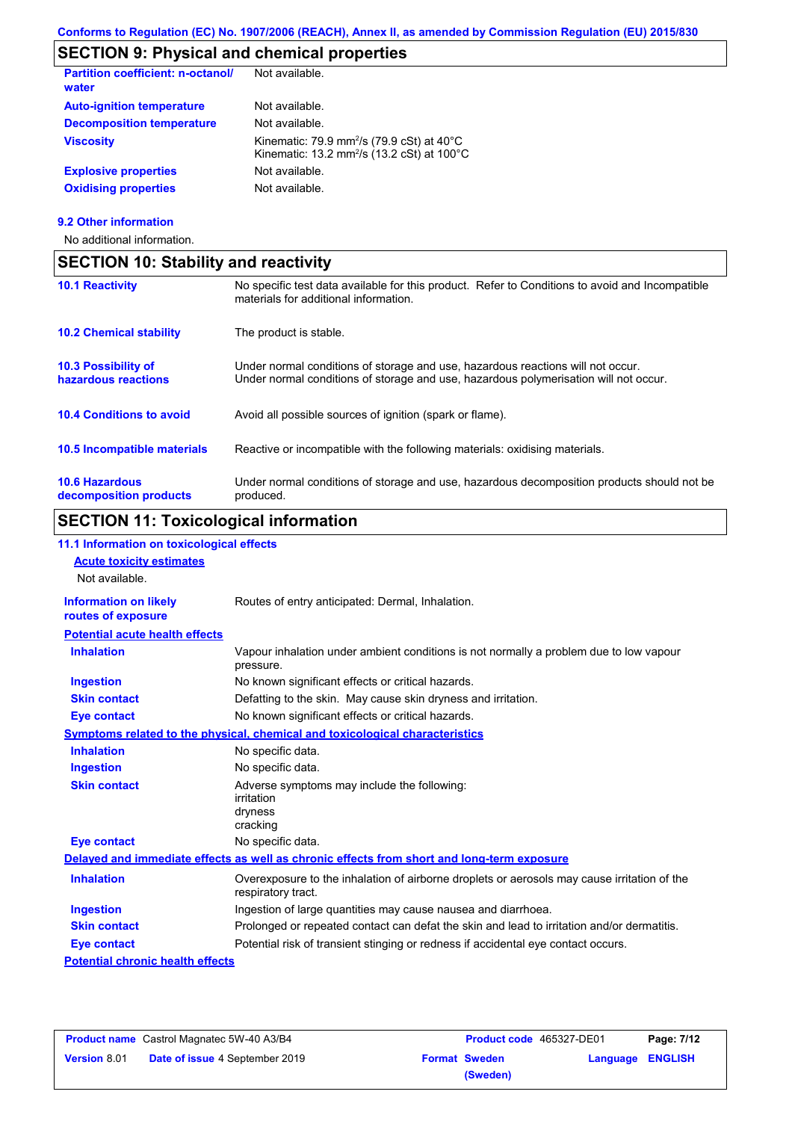## **SECTION 9: Physical and chemical properties**

| Not available.                                                                                                                      |
|-------------------------------------------------------------------------------------------------------------------------------------|
| Not available.                                                                                                                      |
| Not available.                                                                                                                      |
| Kinematic: 79.9 mm <sup>2</sup> /s (79.9 cSt) at $40^{\circ}$ C<br>Kinematic: 13.2 mm <sup>2</sup> /s (13.2 cSt) at $100^{\circ}$ C |
| Not available.                                                                                                                      |
| Not available.                                                                                                                      |
|                                                                                                                                     |

### **9.2 Other information**

No additional information.

|                                                   | <b>SECTION 10: Stability and reactivity</b>                                                                                                                             |  |  |  |
|---------------------------------------------------|-------------------------------------------------------------------------------------------------------------------------------------------------------------------------|--|--|--|
| <b>10.1 Reactivity</b>                            | No specific test data available for this product. Refer to Conditions to avoid and Incompatible<br>materials for additional information.                                |  |  |  |
| <b>10.2 Chemical stability</b>                    | The product is stable.                                                                                                                                                  |  |  |  |
| <b>10.3 Possibility of</b><br>hazardous reactions | Under normal conditions of storage and use, hazardous reactions will not occur.<br>Under normal conditions of storage and use, hazardous polymerisation will not occur. |  |  |  |
| <b>10.4 Conditions to avoid</b>                   | Avoid all possible sources of ignition (spark or flame).                                                                                                                |  |  |  |
| 10.5 Incompatible materials                       | Reactive or incompatible with the following materials: oxidising materials.                                                                                             |  |  |  |
| <b>10.6 Hazardous</b><br>decomposition products   | Under normal conditions of storage and use, hazardous decomposition products should not be<br>produced.                                                                 |  |  |  |

# **SECTION 11: Toxicological information**

| 11.1 Information on toxicological effects          |                                                                                                                   |
|----------------------------------------------------|-------------------------------------------------------------------------------------------------------------------|
| <b>Acute toxicity estimates</b>                    |                                                                                                                   |
| Not available.                                     |                                                                                                                   |
| <b>Information on likely</b><br>routes of exposure | Routes of entry anticipated: Dermal, Inhalation.                                                                  |
| <b>Potential acute health effects</b>              |                                                                                                                   |
| <b>Inhalation</b>                                  | Vapour inhalation under ambient conditions is not normally a problem due to low vapour<br>pressure.               |
| <b>Ingestion</b>                                   | No known significant effects or critical hazards.                                                                 |
| <b>Skin contact</b>                                | Defatting to the skin. May cause skin dryness and irritation.                                                     |
| <b>Eye contact</b>                                 | No known significant effects or critical hazards.                                                                 |
|                                                    | Symptoms related to the physical, chemical and toxicological characteristics                                      |
| <b>Inhalation</b>                                  | No specific data.                                                                                                 |
| <b>Ingestion</b>                                   | No specific data.                                                                                                 |
| <b>Skin contact</b>                                | Adverse symptoms may include the following:<br>irritation<br>dryness<br>cracking                                  |
| <b>Eye contact</b>                                 | No specific data.                                                                                                 |
|                                                    | Delayed and immediate effects as well as chronic effects from short and long-term exposure                        |
| <b>Inhalation</b>                                  | Overexposure to the inhalation of airborne droplets or aerosols may cause irritation of the<br>respiratory tract. |
| <b>Ingestion</b>                                   | Ingestion of large quantities may cause nausea and diarrhoea.                                                     |
| <b>Skin contact</b>                                | Prolonged or repeated contact can defat the skin and lead to irritation and/or dermatitis.                        |
| <b>Eye contact</b>                                 | Potential risk of transient stinging or redness if accidental eye contact occurs.                                 |
| <b>Potential chronic health effects</b>            |                                                                                                                   |

| <b>Product name</b> Castrol Magnatec 5W-40 A3/B4 |                                       | Product code 465327-DE01 |                      | Page: 7/12       |  |
|--------------------------------------------------|---------------------------------------|--------------------------|----------------------|------------------|--|
| <b>Version 8.01</b>                              | <b>Date of issue 4 September 2019</b> |                          | <b>Format Sweden</b> | Language ENGLISH |  |
|                                                  |                                       |                          | (Sweden)             |                  |  |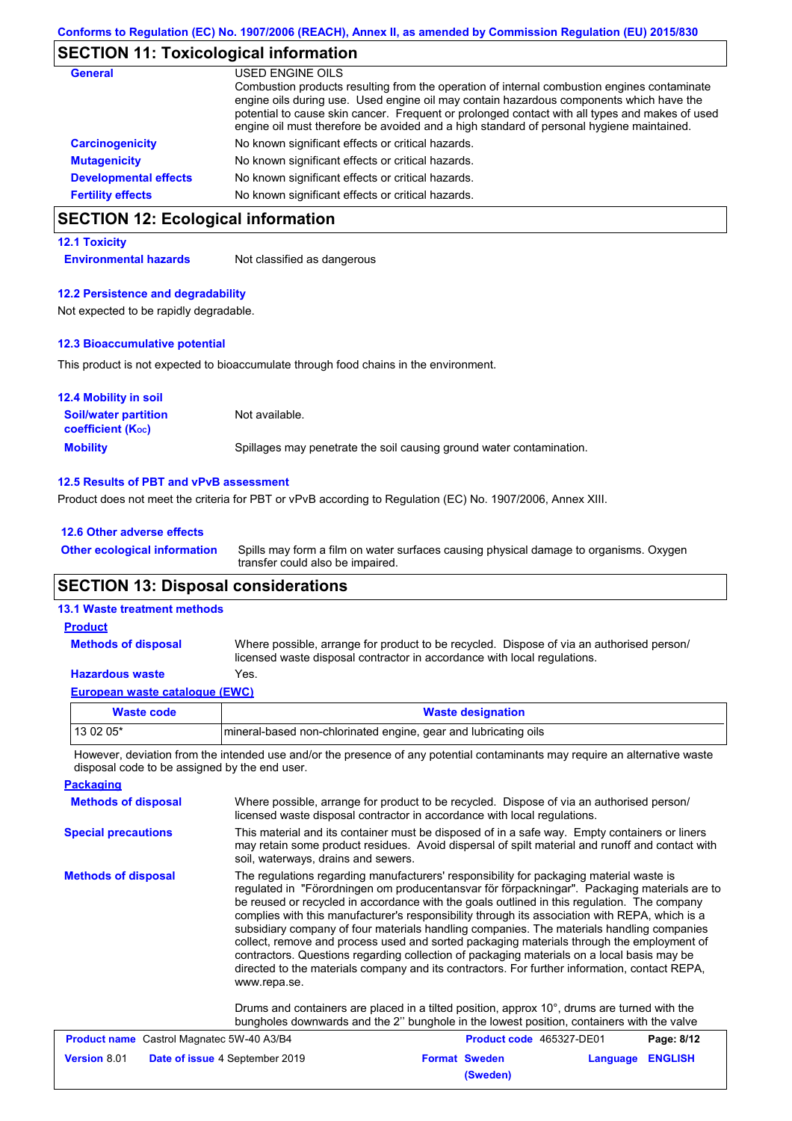### **SECTION 11: Toxicological information**

| <b>General</b>               | USED ENGINE OILS<br>Combustion products resulting from the operation of internal combustion engines contaminate<br>engine oils during use. Used engine oil may contain hazardous components which have the<br>potential to cause skin cancer. Frequent or prolonged contact with all types and makes of used<br>engine oil must therefore be avoided and a high standard of personal hygiene maintained. |
|------------------------------|----------------------------------------------------------------------------------------------------------------------------------------------------------------------------------------------------------------------------------------------------------------------------------------------------------------------------------------------------------------------------------------------------------|
| <b>Carcinogenicity</b>       | No known significant effects or critical hazards.                                                                                                                                                                                                                                                                                                                                                        |
| <b>Mutagenicity</b>          | No known significant effects or critical hazards.                                                                                                                                                                                                                                                                                                                                                        |
| <b>Developmental effects</b> | No known significant effects or critical hazards.                                                                                                                                                                                                                                                                                                                                                        |
| <b>Fertility effects</b>     | No known significant effects or critical hazards.                                                                                                                                                                                                                                                                                                                                                        |

### **SECTION 12: Ecological information**

#### **12.1 Toxicity**

**Environmental hazards** Not classified as dangerous

#### **12.2 Persistence and degradability**

Not expected to be rapidly degradable.

#### **12.3 Bioaccumulative potential**

This product is not expected to bioaccumulate through food chains in the environment.

| <b>12.4 Mobility in soil</b>                            |                                                                      |
|---------------------------------------------------------|----------------------------------------------------------------------|
| <b>Soil/water partition</b><br><b>coefficient (Koc)</b> | Not available.                                                       |
| <b>Mobility</b>                                         | Spillages may penetrate the soil causing ground water contamination. |

#### **12.5 Results of PBT and vPvB assessment**

Product does not meet the criteria for PBT or vPvB according to Regulation (EC) No. 1907/2006, Annex XIII.

| 12.6 Other adverse effects          |                                                                                                                           |  |
|-------------------------------------|---------------------------------------------------------------------------------------------------------------------------|--|
| <b>Other ecological information</b> | Spills may form a film on water surfaces causing physical damage to organisms. Oxygen<br>transfer could also be impaired. |  |

### **SECTION 13: Disposal considerations**

### **Methods of disposal 13.1 Waste treatment methods Product**

Where possible, arrange for product to be recycled. Dispose of via an authorised person/ licensed waste disposal contractor in accordance with local regulations.

### **Hazardous waste** Yes.

|  | European waste catalogue (EWC) |  |
|--|--------------------------------|--|
|  |                                |  |

| Waste code | <b>Waste designation</b>                                        |
|------------|-----------------------------------------------------------------|
| 13 02 05*  | mineral-based non-chlorinated engine, gear and lubricating oils |

However, deviation from the intended use and/or the presence of any potential contaminants may require an alternative waste disposal code to be assigned by the end user.

| <b>Packaging</b>                                                                                                                                                                                                                                                                                                                                                                                                                                                                                                                                                                                                                                                                                                                                                                                                                                                                                                                                                                                                            |                                                                                                                                                                      |                                                                                                                                                                                                  |          |                |  |  |
|-----------------------------------------------------------------------------------------------------------------------------------------------------------------------------------------------------------------------------------------------------------------------------------------------------------------------------------------------------------------------------------------------------------------------------------------------------------------------------------------------------------------------------------------------------------------------------------------------------------------------------------------------------------------------------------------------------------------------------------------------------------------------------------------------------------------------------------------------------------------------------------------------------------------------------------------------------------------------------------------------------------------------------|----------------------------------------------------------------------------------------------------------------------------------------------------------------------|--------------------------------------------------------------------------------------------------------------------------------------------------------------------------------------------------|----------|----------------|--|--|
| <b>Methods of disposal</b>                                                                                                                                                                                                                                                                                                                                                                                                                                                                                                                                                                                                                                                                                                                                                                                                                                                                                                                                                                                                  | Where possible, arrange for product to be recycled. Dispose of via an authorised person/<br>licensed waste disposal contractor in accordance with local regulations. |                                                                                                                                                                                                  |          |                |  |  |
| <b>Special precautions</b>                                                                                                                                                                                                                                                                                                                                                                                                                                                                                                                                                                                                                                                                                                                                                                                                                                                                                                                                                                                                  | soil, waterways, drains and sewers.                                                                                                                                  | This material and its container must be disposed of in a safe way. Empty containers or liners<br>may retain some product residues. Avoid dispersal of spilt material and runoff and contact with |          |                |  |  |
| <b>Methods of disposal</b><br>The regulations regarding manufacturers' responsibility for packaging material waste is<br>regulated in "Förordningen om producentansvar för förpackningar". Packaging materials are to<br>be reused or recycled in accordance with the goals outlined in this regulation. The company<br>complies with this manufacturer's responsibility through its association with REPA, which is a<br>subsidiary company of four materials handling companies. The materials handling companies<br>collect, remove and process used and sorted packaging materials through the employment of<br>contractors. Questions regarding collection of packaging materials on a local basis may be<br>directed to the materials company and its contractors. For further information, contact REPA,<br>www.repa.se.<br>Drums and containers are placed in a tilted position, approx 10°, drums are turned with the<br>bungholes downwards and the 2" bunghole in the lowest position, containers with the valve |                                                                                                                                                                      |                                                                                                                                                                                                  |          |                |  |  |
| <b>Product name</b> Castrol Magnatec 5W-40 A3/B4                                                                                                                                                                                                                                                                                                                                                                                                                                                                                                                                                                                                                                                                                                                                                                                                                                                                                                                                                                            |                                                                                                                                                                      | Product code 465327-DE01                                                                                                                                                                         |          | Page: 8/12     |  |  |
| <b>Version 8.01</b>                                                                                                                                                                                                                                                                                                                                                                                                                                                                                                                                                                                                                                                                                                                                                                                                                                                                                                                                                                                                         | Date of issue 4 September 2019                                                                                                                                       | <b>Format Sweden</b><br>(Sweden)                                                                                                                                                                 | Language | <b>ENGLISH</b> |  |  |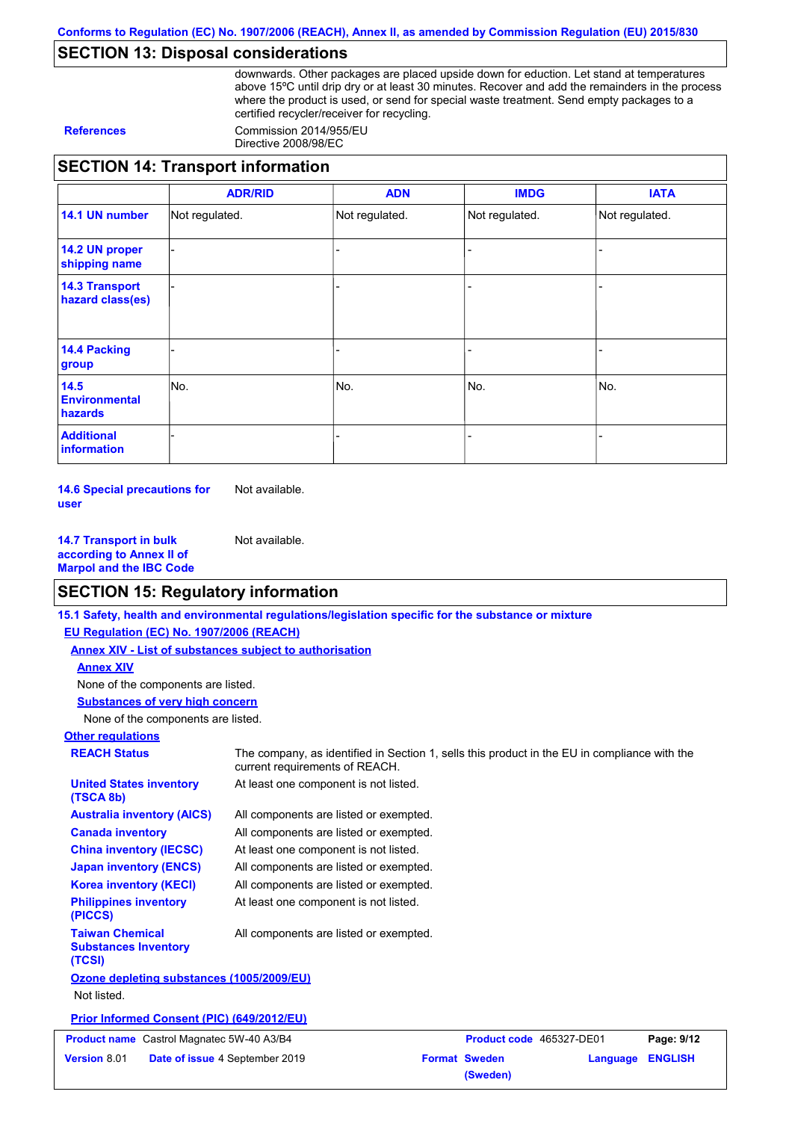### **SECTION 13: Disposal considerations**

downwards. Other packages are placed upside down for eduction. Let stand at temperatures above 15ºC until drip dry or at least 30 minutes. Recover and add the remainders in the process where the product is used, or send for special waste treatment. Send empty packages to a certified recycler/receiver for recycling.

**References** Commission 2014/955/EU Directive 2008/98/EC

### **SECTION 14: Transport information**

|                                           | <b>ADR/RID</b> | <b>ADN</b>     | <b>IMDG</b>    | <b>IATA</b>    |
|-------------------------------------------|----------------|----------------|----------------|----------------|
| 14.1 UN number                            | Not regulated. | Not regulated. | Not regulated. | Not regulated. |
| 14.2 UN proper<br>shipping name           |                |                | -              |                |
| <b>14.3 Transport</b><br>hazard class(es) |                |                | ۰              |                |
| 14.4 Packing<br>group                     |                |                |                |                |
| 14.5<br><b>Environmental</b><br>hazards   | No.            | No.            | No.            | No.            |
| <b>Additional</b><br>information          |                |                |                |                |

**14.6 Special precautions for user** Not available.

**14.7 Transport in bulk according to Annex II of Marpol and the IBC Code** Not available.

### **SECTION 15: Regulatory information**

**15.1 Safety, health and environmental regulations/legislation specific for the substance or mixture**

**EU Regulation (EC) No. 1907/2006 (REACH)**

| <u>-9 Regulation (29) No. 1907/2000 (REAGH</u>                  |                                                                                                                                |  |                                  |          |                |
|-----------------------------------------------------------------|--------------------------------------------------------------------------------------------------------------------------------|--|----------------------------------|----------|----------------|
| Annex XIV - List of substances subject to authorisation         |                                                                                                                                |  |                                  |          |                |
| <b>Annex XIV</b>                                                |                                                                                                                                |  |                                  |          |                |
| None of the components are listed.                              |                                                                                                                                |  |                                  |          |                |
| <b>Substances of very high concern</b>                          |                                                                                                                                |  |                                  |          |                |
| None of the components are listed.                              |                                                                                                                                |  |                                  |          |                |
| <b>Other regulations</b>                                        |                                                                                                                                |  |                                  |          |                |
| <b>REACH Status</b>                                             | The company, as identified in Section 1, sells this product in the EU in compliance with the<br>current requirements of REACH. |  |                                  |          |                |
| <b>United States inventory</b><br>(TSCA 8b)                     | At least one component is not listed.                                                                                          |  |                                  |          |                |
| <b>Australia inventory (AICS)</b>                               | All components are listed or exempted.                                                                                         |  |                                  |          |                |
| <b>Canada inventory</b>                                         | All components are listed or exempted.                                                                                         |  |                                  |          |                |
| <b>China inventory (IECSC)</b>                                  | At least one component is not listed.                                                                                          |  |                                  |          |                |
| <b>Japan inventory (ENCS)</b>                                   | All components are listed or exempted.                                                                                         |  |                                  |          |                |
| <b>Korea inventory (KECI)</b>                                   | All components are listed or exempted.                                                                                         |  |                                  |          |                |
| <b>Philippines inventory</b><br>(PICCS)                         | At least one component is not listed.                                                                                          |  |                                  |          |                |
| <b>Taiwan Chemical</b><br><b>Substances Inventory</b><br>(TCSI) | All components are listed or exempted.                                                                                         |  |                                  |          |                |
| Ozone depleting substances (1005/2009/EU)                       |                                                                                                                                |  |                                  |          |                |
| Not listed.                                                     |                                                                                                                                |  |                                  |          |                |
| Prior Informed Consent (PIC) (649/2012/EU)                      |                                                                                                                                |  |                                  |          |                |
| <b>Product name</b> Castrol Magnatec 5W-40 A3/B4                |                                                                                                                                |  | Product code 465327-DE01         |          | Page: 9/12     |
| Version 8.01                                                    | Date of issue 4 September 2019                                                                                                 |  | <b>Format Sweden</b><br>(Sweden) | Language | <b>ENGLISH</b> |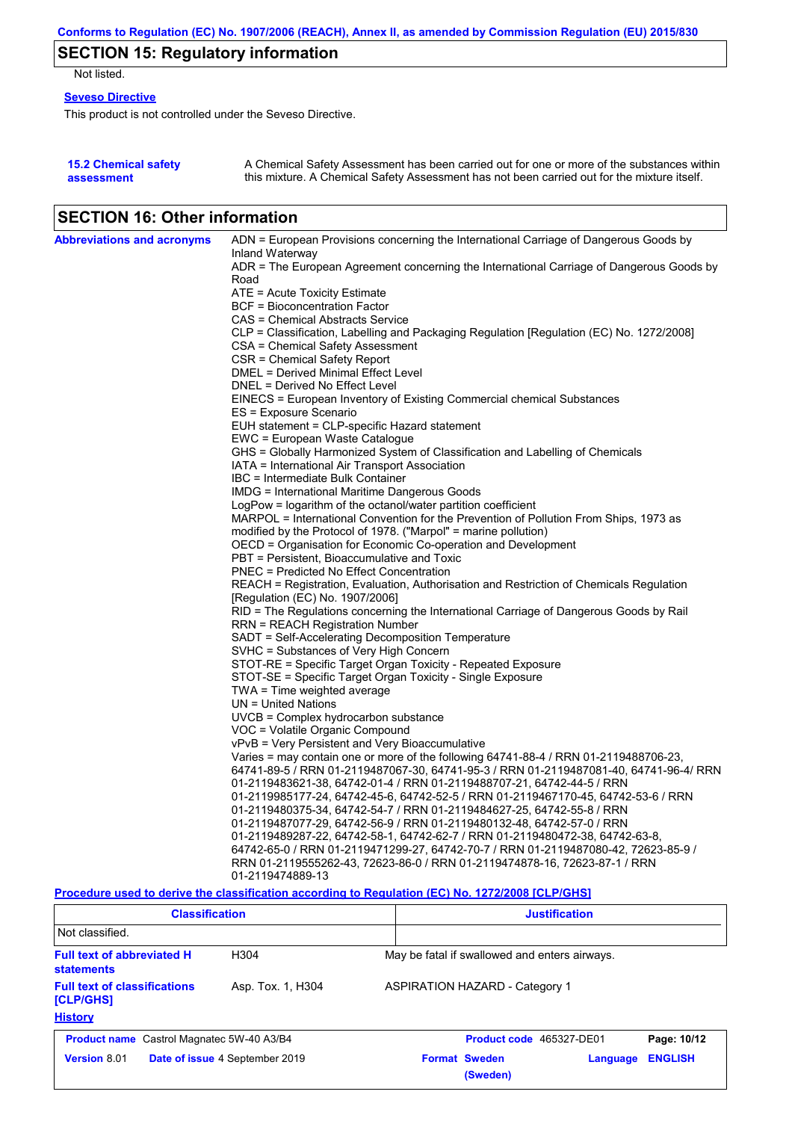# **SECTION 15: Regulatory information**

Not listed.

### **Seveso Directive**

This product is not controlled under the Seveso Directive.

| <b>15.2 Chemical safety</b> | A Chemical Safety Assessment has been carried out for one or more of the substances within  |
|-----------------------------|---------------------------------------------------------------------------------------------|
| assessment                  | this mixture. A Chemical Safety Assessment has not been carried out for the mixture itself. |

### **SECTION 16: Other information**

| <b>Abbreviations and acronyms</b> | ADN = European Provisions concerning the International Carriage of Dangerous Goods by                                     |
|-----------------------------------|---------------------------------------------------------------------------------------------------------------------------|
|                                   | Inland Waterway                                                                                                           |
|                                   | ADR = The European Agreement concerning the International Carriage of Dangerous Goods by                                  |
|                                   | Road                                                                                                                      |
|                                   | ATE = Acute Toxicity Estimate                                                                                             |
|                                   | <b>BCF</b> = Bioconcentration Factor                                                                                      |
|                                   | CAS = Chemical Abstracts Service                                                                                          |
|                                   | CLP = Classification, Labelling and Packaging Regulation [Regulation (EC) No. 1272/2008]                                  |
|                                   | CSA = Chemical Safety Assessment                                                                                          |
|                                   | CSR = Chemical Safety Report                                                                                              |
|                                   | DMEL = Derived Minimal Effect Level                                                                                       |
|                                   | DNEL = Derived No Effect Level                                                                                            |
|                                   | EINECS = European Inventory of Existing Commercial chemical Substances                                                    |
|                                   | ES = Exposure Scenario                                                                                                    |
|                                   | EUH statement = CLP-specific Hazard statement                                                                             |
|                                   | EWC = European Waste Catalogue                                                                                            |
|                                   | GHS = Globally Harmonized System of Classification and Labelling of Chemicals                                             |
|                                   | IATA = International Air Transport Association                                                                            |
|                                   | IBC = Intermediate Bulk Container                                                                                         |
|                                   | IMDG = International Maritime Dangerous Goods                                                                             |
|                                   | LogPow = logarithm of the octanol/water partition coefficient                                                             |
|                                   | MARPOL = International Convention for the Prevention of Pollution From Ships, 1973 as                                     |
|                                   | modified by the Protocol of 1978. ("Marpol" = marine pollution)                                                           |
|                                   | OECD = Organisation for Economic Co-operation and Development                                                             |
|                                   | PBT = Persistent, Bioaccumulative and Toxic                                                                               |
|                                   | <b>PNEC = Predicted No Effect Concentration</b>                                                                           |
|                                   | REACH = Registration, Evaluation, Authorisation and Restriction of Chemicals Regulation                                   |
|                                   | [Regulation (EC) No. 1907/2006]<br>RID = The Regulations concerning the International Carriage of Dangerous Goods by Rail |
|                                   | <b>RRN = REACH Registration Number</b>                                                                                    |
|                                   | SADT = Self-Accelerating Decomposition Temperature                                                                        |
|                                   | SVHC = Substances of Very High Concern                                                                                    |
|                                   | STOT-RE = Specific Target Organ Toxicity - Repeated Exposure                                                              |
|                                   | STOT-SE = Specific Target Organ Toxicity - Single Exposure                                                                |
|                                   | TWA = Time weighted average                                                                                               |
|                                   | $UN = United Nations$                                                                                                     |
|                                   | UVCB = Complex hydrocarbon substance                                                                                      |
|                                   | VOC = Volatile Organic Compound                                                                                           |
|                                   | vPvB = Very Persistent and Very Bioaccumulative                                                                           |
|                                   | Varies = may contain one or more of the following 64741-88-4 / RRN 01-2119488706-23,                                      |
|                                   | 64741-89-5 / RRN 01-2119487067-30, 64741-95-3 / RRN 01-2119487081-40, 64741-96-4/ RRN                                     |
|                                   | 01-2119483621-38, 64742-01-4 / RRN 01-2119488707-21, 64742-44-5 / RRN                                                     |
|                                   | 01-2119985177-24, 64742-45-6, 64742-52-5 / RRN 01-2119467170-45, 64742-53-6 / RRN                                         |
|                                   | 01-2119480375-34, 64742-54-7 / RRN 01-2119484627-25, 64742-55-8 / RRN                                                     |
|                                   | 01-2119487077-29, 64742-56-9 / RRN 01-2119480132-48, 64742-57-0 / RRN                                                     |
|                                   | 01-2119489287-22, 64742-58-1, 64742-62-7 / RRN 01-2119480472-38, 64742-63-8,                                              |
|                                   | 64742-65-0 / RRN 01-2119471299-27, 64742-70-7 / RRN 01-2119487080-42, 72623-85-9 /                                        |
|                                   | RRN 01-2119555262-43, 72623-86-0 / RRN 01-2119474878-16, 72623-87-1 / RRN                                                 |
|                                   | 01-2119474889-13                                                                                                          |

#### **Procedure used to derive the classification according to Regulation (EC) No. 1272/2008 [CLP/GHS]**

| <b>Classification</b>                                                 |                                | <b>Justification</b> |                                       |                                  |                                               |                |
|-----------------------------------------------------------------------|--------------------------------|----------------------|---------------------------------------|----------------------------------|-----------------------------------------------|----------------|
| Not classified.                                                       |                                |                      |                                       |                                  |                                               |                |
| <b>Full text of abbreviated H</b><br><b>statements</b>                | H <sub>304</sub>               |                      |                                       |                                  | May be fatal if swallowed and enters airways. |                |
| <b>Full text of classifications</b><br>Asp. Tox. 1, H304<br>[CLP/GHS] |                                |                      | <b>ASPIRATION HAZARD - Category 1</b> |                                  |                                               |                |
| <b>History</b>                                                        |                                |                      |                                       |                                  |                                               |                |
| <b>Product name</b> Castrol Magnatec 5W-40 A3/B4                      |                                |                      |                                       | Product code 465327-DE01         |                                               | Page: 10/12    |
| Version 8.01                                                          | Date of issue 4 September 2019 |                      |                                       | <b>Format Sweden</b><br>(Sweden) | Language                                      | <b>ENGLISH</b> |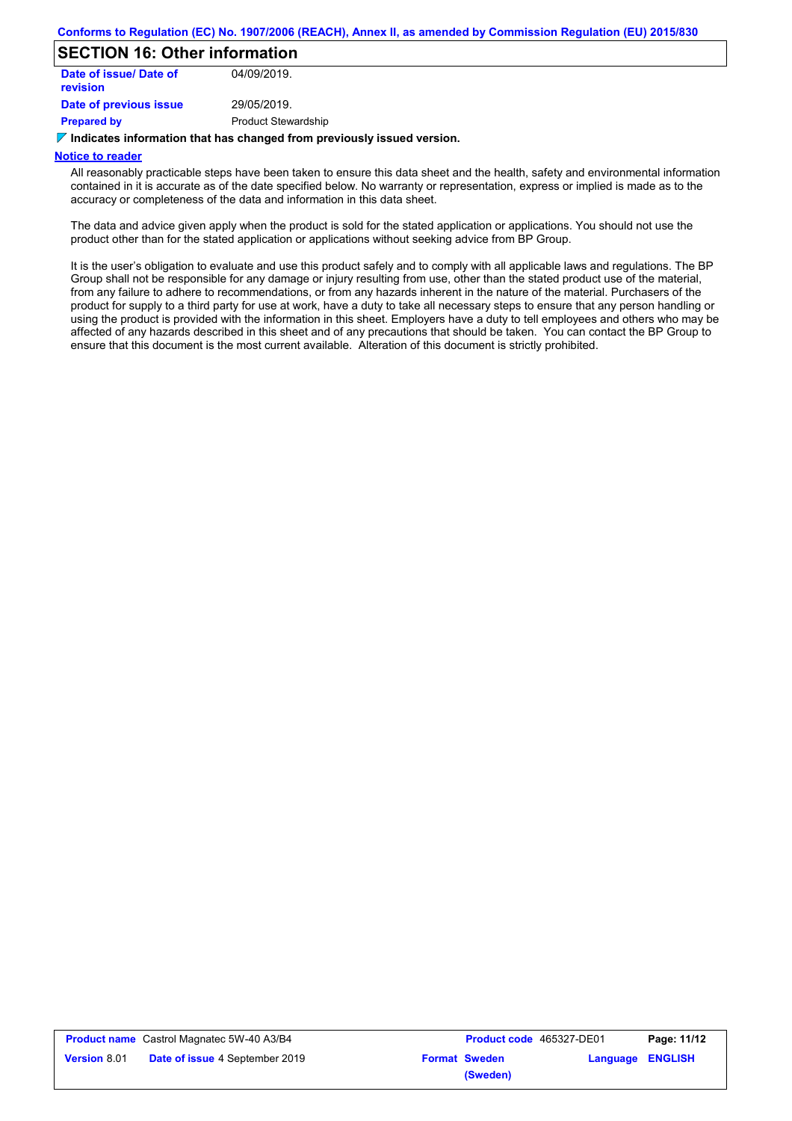### **SECTION 16: Other information**

| Date of issue/ Date of<br><b>revision</b> | 04/09/2019.                |
|-------------------------------------------|----------------------------|
| Date of previous issue                    | 29/05/2019.                |
| <b>Prepared by</b>                        | <b>Product Stewardship</b> |

#### **Indicates information that has changed from previously issued version.**

#### **Notice to reader**

All reasonably practicable steps have been taken to ensure this data sheet and the health, safety and environmental information contained in it is accurate as of the date specified below. No warranty or representation, express or implied is made as to the accuracy or completeness of the data and information in this data sheet.

The data and advice given apply when the product is sold for the stated application or applications. You should not use the product other than for the stated application or applications without seeking advice from BP Group.

It is the user's obligation to evaluate and use this product safely and to comply with all applicable laws and regulations. The BP Group shall not be responsible for any damage or injury resulting from use, other than the stated product use of the material, from any failure to adhere to recommendations, or from any hazards inherent in the nature of the material. Purchasers of the product for supply to a third party for use at work, have a duty to take all necessary steps to ensure that any person handling or using the product is provided with the information in this sheet. Employers have a duty to tell employees and others who may be affected of any hazards described in this sheet and of any precautions that should be taken. You can contact the BP Group to ensure that this document is the most current available. Alteration of this document is strictly prohibited.